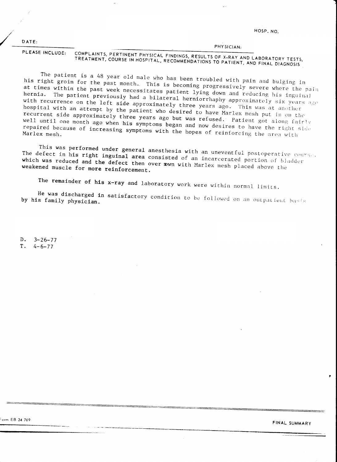HOSP, NO.

PHYSICIAN-

 $DATE:$ 

COMPLAINTS, PERTINENT PHYSICAL FINDINGS, RESULTS OF X-RAY AND LABORATORY TESTS, PLEASE INCLUDE: TREATMENT, COURSE IN HOSPITAL, RECOMMENDATIONS TO PATIENT, AND FINAL DIAGNOSIS

The patient is a 48 year old male who has been troubled with pain and bulging in his right groin for the past month. This is becoming progressively severe where the pain at times within the past week necessitates patient lying down and reducing his inguinal hernia. The patient previously had a bilateral herniorrhaphy approximately six years ago with recurrence on the left side approximately three years ago. This was at another hospital with an attempt by the patient who desired to have Marlex mesh put in on the recurrent side approximately three years ago but was refused. Patient got along fairly well until one month ago when his symptoms began and now desires to have the right side repaired because of increasing symptoms with the hopes of reinforcing the area with

This was performed under general anesthesia with an uneventful postoperative course. The defect in his right inguinal area consisted of an incarcerated portion of bladder which was reduced and the defect then over sown with Marlex mesh placed above the weakened muscle for more reinforcement.

The remainder of his x-ray and laboratory work were within normal limits.

He was discharged in satisfactory condition to be followed on an outpatient basis by his family physician.

 $3 - 26 - 77$  $\mathbf{D}$ T.  $4 - 6 - 77$ 

 $5$ orm EB 24.769

FINAL SUMMARY